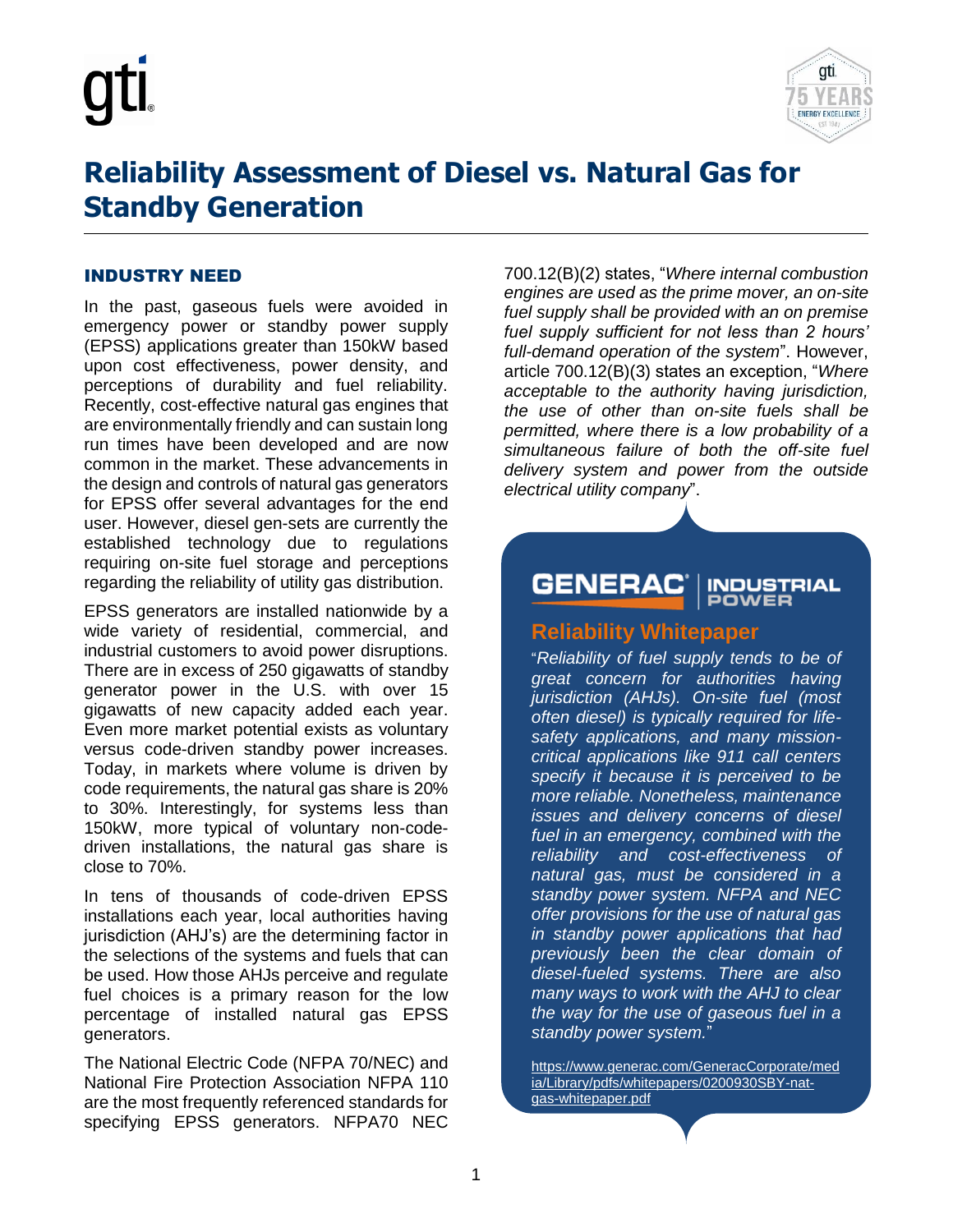



# **Reliability Assessment of Diesel vs. Natural Gas for Standby Generation**

#### INDUSTRY NEED

In the past, gaseous fuels were avoided in emergency power or standby power supply (EPSS) applications greater than 150kW based upon cost effectiveness, power density, and perceptions of durability and fuel reliability. Recently, cost-effective natural gas engines that are environmentally friendly and can sustain long run times have been developed and are now common in the market. These advancements in the design and controls of natural gas generators for EPSS offer several advantages for the end user. However, diesel gen-sets are currently the established technology due to regulations requiring on-site fuel storage and perceptions regarding the reliability of utility gas distribution.

EPSS generators are installed nationwide by a wide variety of residential, commercial, and industrial customers to avoid power disruptions. There are in excess of 250 gigawatts of standby generator power in the U.S. with over 15 gigawatts of new capacity added each year. Even more market potential exists as voluntary versus code-driven standby power increases. Today, in markets where volume is driven by code requirements, the natural gas share is 20% to 30%. Interestingly, for systems less than 150kW, more typical of voluntary non-codedriven installations, the natural gas share is close to 70%.

In tens of thousands of code-driven EPSS installations each year, local authorities having jurisdiction (AHJ's) are the determining factor in the selections of the systems and fuels that can be used. How those AHJs perceive and regulate fuel choices is a primary reason for the low percentage of installed natural gas EPSS generators.

The National Electric Code (NFPA 70/NEC) and National Fire Protection Association NFPA 110 are the most frequently referenced standards for specifying EPSS generators. NFPA70 NEC

700.12(B)(2) states, "*Where internal combustion engines are used as the prime mover, an on-site fuel supply shall be provided with an on premise fuel supply sufficient for not less than 2 hours' full-demand operation of the system*". However, article 700.12(B)(3) states an exception, "*Where acceptable to the authority having jurisdiction, the use of other than on-site fuels shall be permitted, where there is a low probability of a simultaneous failure of both the off-site fuel delivery system and power from the outside electrical utility company*".

#### **GENERAC INDUSTRIAL POWER**

# **Reliability Whitepaper**

"*Reliability of fuel supply tends to be of great concern for authorities having jurisdiction (AHJs). On-site fuel (most often diesel) is typically required for lifesafety applications, and many missioncritical applications like 911 call centers specify it because it is perceived to be more reliable. Nonetheless, maintenance issues and delivery concerns of diesel fuel in an emergency, combined with the reliability and cost-effectiveness of natural gas, must be considered in a standby power system. NFPA and NEC offer provisions for the use of natural gas in standby power applications that had previously been the clear domain of diesel-fueled systems. There are also many ways to work with the AHJ to clear the way for the use of gaseous fuel in a standby power system.*"

[https://www.generac.com/GeneracCorporate/med](https://www.generac.com/GeneracCorporate/media/Library/pdfs/whitepapers/0200930SBY-nat-gas-whitepaper.pdf) [ia/Library/pdfs/whitepapers/0200930SBY-nat](https://www.generac.com/GeneracCorporate/media/Library/pdfs/whitepapers/0200930SBY-nat-gas-whitepaper.pdf)[gas-whitepaper.pdf](https://www.generac.com/GeneracCorporate/media/Library/pdfs/whitepapers/0200930SBY-nat-gas-whitepaper.pdf)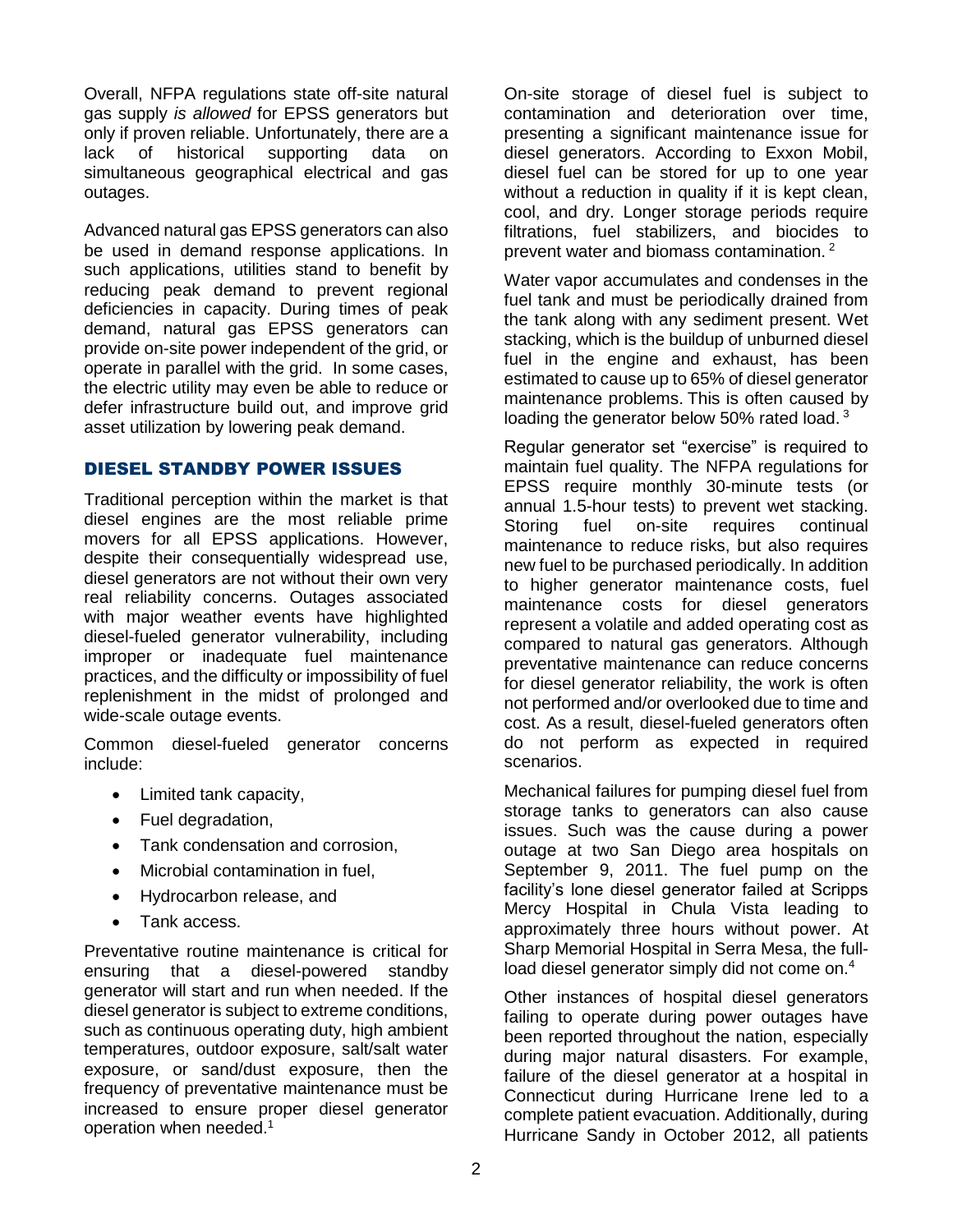Overall, NFPA regulations state off-site natural gas supply *is allowed* for EPSS generators but only if proven reliable. Unfortunately, there are a lack of historical supporting data on simultaneous geographical electrical and gas outages.

Advanced natural gas EPSS generators can also be used in demand response applications. In such applications, utilities stand to benefit by reducing peak demand to prevent regional deficiencies in capacity. During times of peak demand, natural gas EPSS generators can provide on-site power independent of the grid, or operate in parallel with the grid. In some cases, the electric utility may even be able to reduce or defer infrastructure build out, and improve grid asset utilization by lowering peak demand.

# DIESEL STANDBY POWER ISSUES

Traditional perception within the market is that diesel engines are the most reliable prime movers for all EPSS applications. However, despite their consequentially widespread use, diesel generators are not without their own very real reliability concerns. Outages associated with major weather events have highlighted diesel-fueled generator vulnerability, including improper or inadequate fuel maintenance practices, and the difficulty or impossibility of fuel replenishment in the midst of prolonged and wide-scale outage events.

Common diesel-fueled generator concerns include:

- Limited tank capacity,
- Fuel degradation,
- Tank condensation and corrosion,
- Microbial contamination in fuel,
- Hydrocarbon release, and
- Tank access.

Preventative routine maintenance is critical for ensuring that a diesel-powered standby generator will start and run when needed. If the diesel generator is subject to extreme conditions, such as continuous operating duty, high ambient temperatures, outdoor exposure, salt/salt water exposure, or sand/dust exposure, then the frequency of preventative maintenance must be increased to ensure proper diesel generator operation when needed.<sup>1</sup>

On-site storage of diesel fuel is subject to contamination and deterioration over time, presenting a significant maintenance issue for diesel generators. According to Exxon Mobil, diesel fuel can be stored for up to one year without a reduction in quality if it is kept clean, cool, and dry. Longer storage periods require filtrations, fuel stabilizers, and biocides to prevent water and biomass contamination. <sup>2</sup>

Water vapor accumulates and condenses in the fuel tank and must be periodically drained from the tank along with any sediment present. Wet stacking, which is the buildup of unburned diesel fuel in the engine and exhaust, has been estimated to cause up to 65% of diesel generator maintenance problems. This is often caused by loading the generator below 50% rated load.<sup>3</sup>

Regular generator set "exercise" is required to maintain fuel quality. The NFPA regulations for EPSS require monthly 30-minute tests (or annual 1.5-hour tests) to prevent wet stacking. Storing fuel on-site requires continual maintenance to reduce risks, but also requires new fuel to be purchased periodically. In addition to higher generator maintenance costs, fuel maintenance costs for diesel generators represent a volatile and added operating cost as compared to natural gas generators. Although preventative maintenance can reduce concerns for diesel generator reliability, the work is often not performed and/or overlooked due to time and cost. As a result, diesel-fueled generators often do not perform as expected in required scenarios.

Mechanical failures for pumping diesel fuel from storage tanks to generators can also cause issues. Such was the cause during a power outage at two San Diego area hospitals on September 9, 2011. The fuel pump on the facility's lone diesel generator failed at Scripps Mercy Hospital in Chula Vista leading to approximately three hours without power. At Sharp Memorial Hospital in Serra Mesa, the fullload diesel generator simply did not come on.<sup>4</sup>

Other instances of hospital diesel generators failing to operate during power outages have been reported throughout the nation, especially during major natural disasters. For example, failure of the diesel generator at a hospital in Connecticut during Hurricane Irene led to a complete patient evacuation. Additionally, during Hurricane Sandy in October 2012, all patients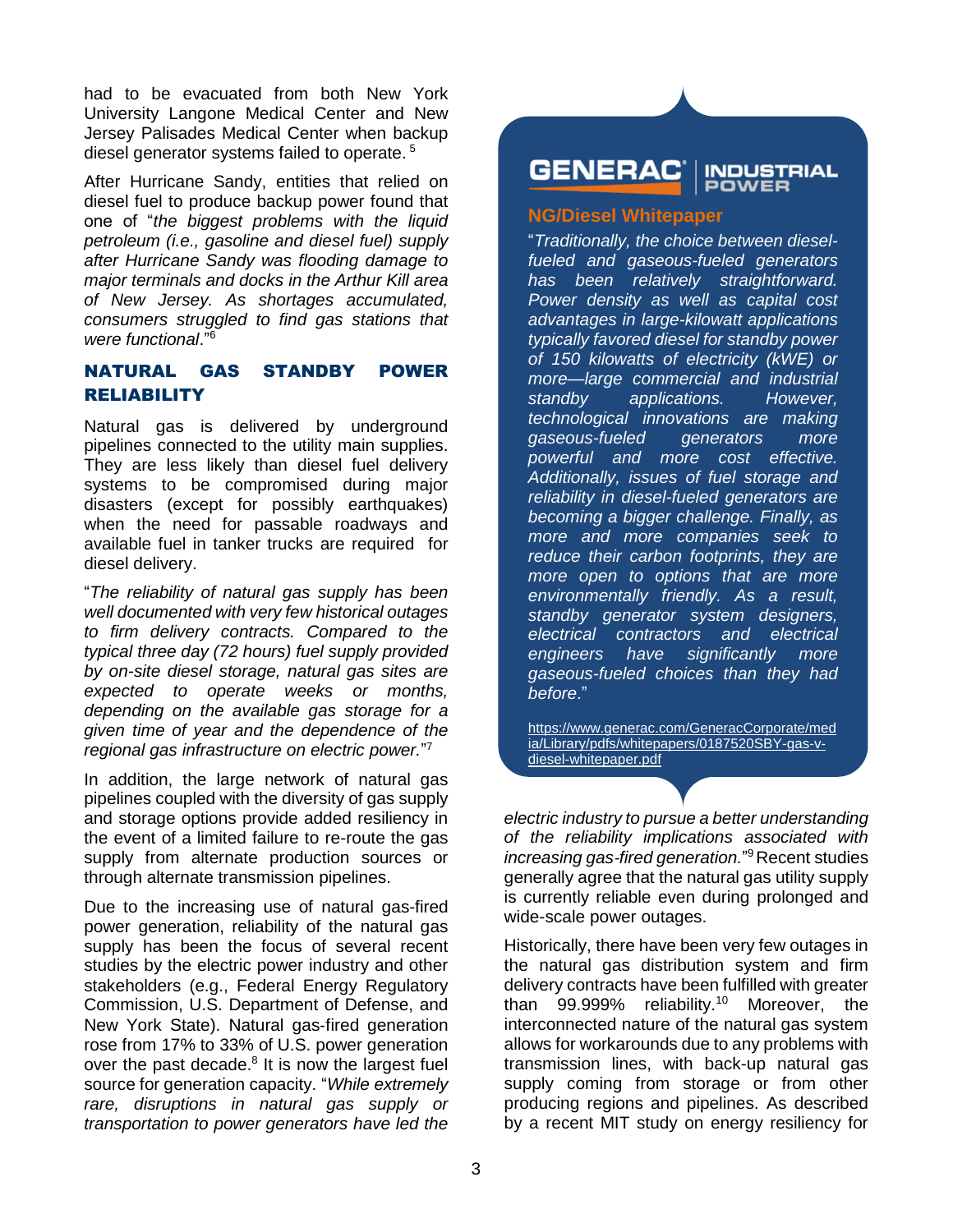had to be evacuated from both New York University Langone Medical Center and New Jersey Palisades Medical Center when backup diesel generator systems failed to operate. 5

After Hurricane Sandy, entities that relied on diesel fuel to produce backup power found that one of "*the biggest problems with the liquid petroleum (i.e., gasoline and diesel fuel) supply after Hurricane Sandy was flooding damage to major terminals and docks in the Arthur Kill area of New Jersey. As shortages accumulated, consumers struggled to find gas stations that were functional*." 6

# NATURAL GAS STANDBY POWER RELIABILITY

Natural gas is delivered by underground pipelines connected to the utility main supplies. They are less likely than diesel fuel delivery systems to be compromised during major disasters (except for possibly earthquakes) when the need for passable roadways and available fuel in tanker trucks are required for diesel delivery.

"*The reliability of natural gas supply has been well documented with very few historical outages to firm delivery contracts. Compared to the typical three day (72 hours) fuel supply provided by on-site diesel storage, natural gas sites are expected to operate weeks or months, depending on the available gas storage for a given time of year and the dependence of the regional gas infrastructure on electric power.*" 7

In addition, the large network of natural gas pipelines coupled with the diversity of gas supply and storage options provide added resiliency in the event of a limited failure to re-route the gas supply from alternate production sources or through alternate transmission pipelines.

Due to the increasing use of natural gas-fired power generation, reliability of the natural gas supply has been the focus of several recent studies by the electric power industry and other stakeholders (e.g., Federal Energy Regulatory Commission, U.S. Department of Defense, and New York State). Natural gas‐fired generation rose from 17% to 33% of U.S. power generation over the past decade.<sup>8</sup> It is now the largest fuel source for generation capacity. "*While extremely rare, disruptions in natural gas supply or transportation to power generators have led the* 

#### **GENERAC INDUSTRIAL**

#### **NG/Diesel Whitepaper**

"*Traditionally, the choice between dieselfueled and gaseous-fueled generators has been relatively straightforward. Power density as well as capital cost advantages in large-kilowatt applications typically favored diesel for standby power of 150 kilowatts of electricity (kWE) or more—large commercial and industrial standby applications. However, technological innovations are making gaseous-fueled generators more powerful and more cost effective. Additionally, issues of fuel storage and reliability in diesel-fueled generators are becoming a bigger challenge. Finally, as more and more companies seek to reduce their carbon footprints, they are more open to options that are more environmentally friendly. As a result, standby generator system designers, electrical contractors and electrical engineers have significantly more gaseous-fueled choices than they had before*."

[https://www.generac.com/GeneracCorporate/med](https://www.generac.com/GeneracCorporate/media/Library/pdfs/whitepapers/0187520SBY-gas-v-diesel-whitepaper.pdf) [ia/Library/pdfs/whitepapers/0187520SBY-gas-v](https://www.generac.com/GeneracCorporate/media/Library/pdfs/whitepapers/0187520SBY-gas-v-diesel-whitepaper.pdf)[diesel-whitepaper.pdf](https://www.generac.com/GeneracCorporate/media/Library/pdfs/whitepapers/0187520SBY-gas-v-diesel-whitepaper.pdf)

*electric industry to pursue a better understanding of the reliability implications associated with increasing gas*‐*fired generation.*" <sup>9</sup>Recent studies generally agree that the natural gas utility supply is currently reliable even during prolonged and wide-scale power outages.

Historically, there have been very few outages in the natural gas distribution system and firm delivery contracts have been fulfilled with greater than 99.999% reliability.<sup>10</sup> Moreover, the interconnected nature of the natural gas system allows for workarounds due to any problems with transmission lines, with back-up natural gas supply coming from storage or from other producing regions and pipelines. As described by a recent MIT study on energy resiliency for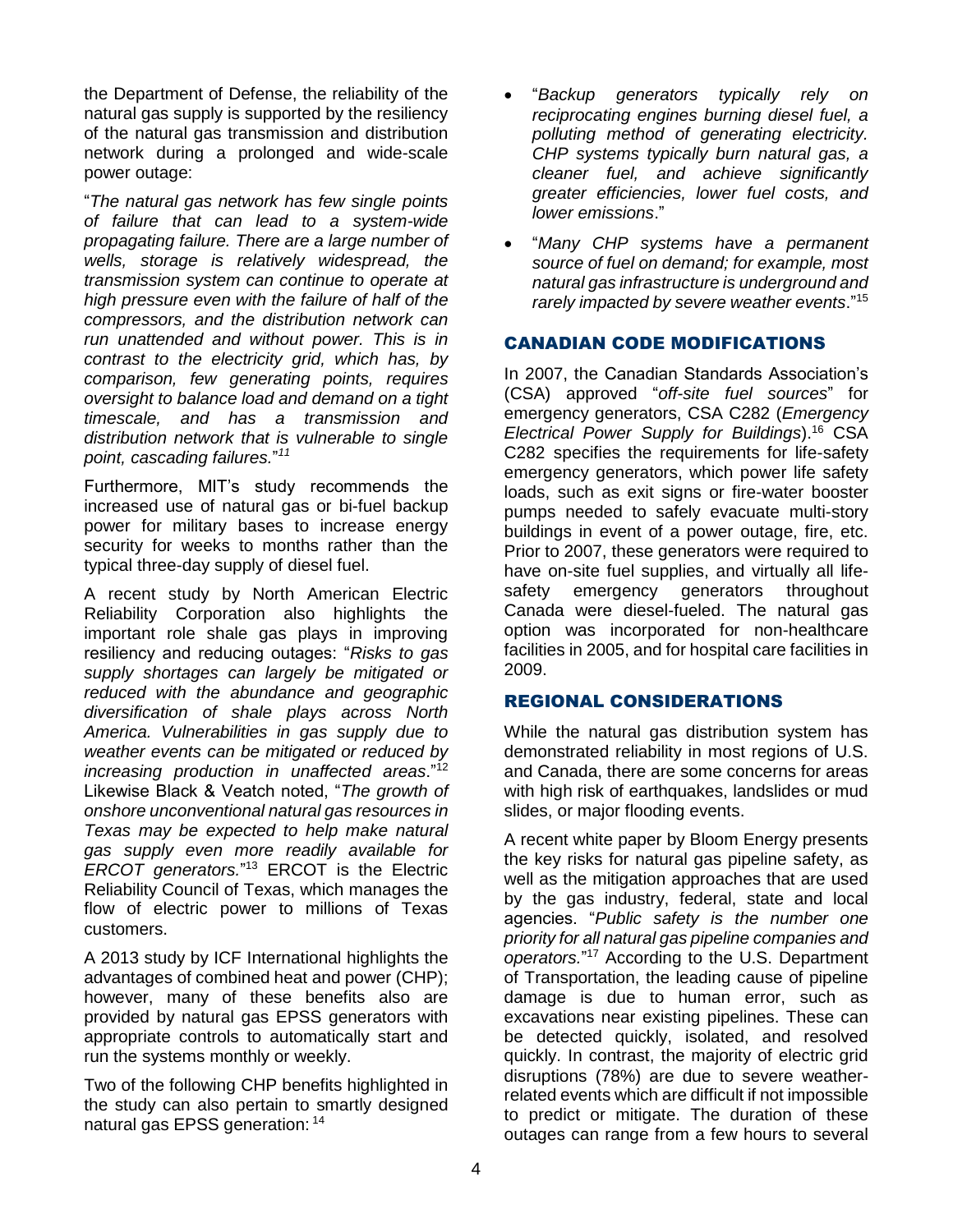the Department of Defense, the reliability of the natural gas supply is supported by the resiliency of the natural gas transmission and distribution network during a prolonged and wide-scale power outage:

"*The natural gas network has few single points of failure that can lead to a system-wide propagating failure. There are a large number of wells, storage is relatively widespread, the transmission system can continue to operate at high pressure even with the failure of half of the compressors, and the distribution network can run unattended and without power. This is in contrast to the electricity grid, which has, by comparison, few generating points, requires oversight to balance load and demand on a tight timescale, and has a transmission and distribution network that is vulnerable to single point, cascading failures.*" *11*

Furthermore, MIT's study recommends the increased use of natural gas or bi-fuel backup power for military bases to increase energy security for weeks to months rather than the typical three-day supply of diesel fuel.

A recent study by North American Electric Reliability Corporation also highlights the important role shale gas plays in improving resiliency and reducing outages: "*Risks to gas supply shortages can largely be mitigated or reduced with the abundance and geographic diversification of shale plays across North America. Vulnerabilities in gas supply due to weather events can be mitigated or reduced by increasing production in unaffected areas*."<sup>12</sup> Likewise Black & Veatch noted, "*The growth of onshore unconventional natural gas resources in Texas may be expected to help make natural gas supply even more readily available for ERCOT generators.*" <sup>13</sup> ERCOT is the Electric Reliability Council of Texas, which manages the flow of electric power to millions of Texas customers.

A 2013 study by ICF International highlights the advantages of combined heat and power (CHP); however, many of these benefits also are provided by natural gas EPSS generators with appropriate controls to automatically start and run the systems monthly or weekly.

Two of the following CHP benefits highlighted in the study can also pertain to smartly designed natural gas EPSS generation: <sup>14</sup>

- "*Backup generators typically rely on reciprocating engines burning diesel fuel, a polluting method of generating electricity. CHP systems typically burn natural gas, a cleaner fuel, and achieve significantly greater efficiencies, lower fuel costs, and lower emissions*."
- "*Many CHP systems have a permanent source of fuel on demand; for example, most natural gas infrastructure is underground and rarely impacted by severe weather events*." 15

### CANADIAN CODE MODIFICATIONS

In 2007, the Canadian Standards Association's (CSA) approved "*off-site fuel sources*" for emergency generators, CSA C282 (*Emergency Electrical Power Supply for Buildings*).<sup>16</sup> CSA C282 specifies the requirements for life-safety emergency generators, which power life safety loads, such as exit signs or fire-water booster pumps needed to safely evacuate multi-story buildings in event of a power outage, fire, etc. Prior to 2007, these generators were required to have on-site fuel supplies, and virtually all lifesafety emergency generators throughout Canada were diesel-fueled. The natural gas option was incorporated for non-healthcare facilities in 2005, and for hospital care facilities in 2009.

#### REGIONAL CONSIDERATIONS

While the natural gas distribution system has demonstrated reliability in most regions of U.S. and Canada, there are some concerns for areas with high risk of earthquakes, landslides or mud slides, or major flooding events.

A recent white paper by Bloom Energy presents the key risks for natural gas pipeline safety, as well as the mitigation approaches that are used by the gas industry, federal, state and local agencies. "*Public safety is the number one priority for all natural gas pipeline companies and operators.*" <sup>17</sup> According to the U.S. Department of Transportation, the leading cause of pipeline damage is due to human error, such as excavations near existing pipelines. These can be detected quickly, isolated, and resolved quickly. In contrast, the majority of electric grid disruptions (78%) are due to severe weatherrelated events which are difficult if not impossible to predict or mitigate. The duration of these outages can range from a few hours to several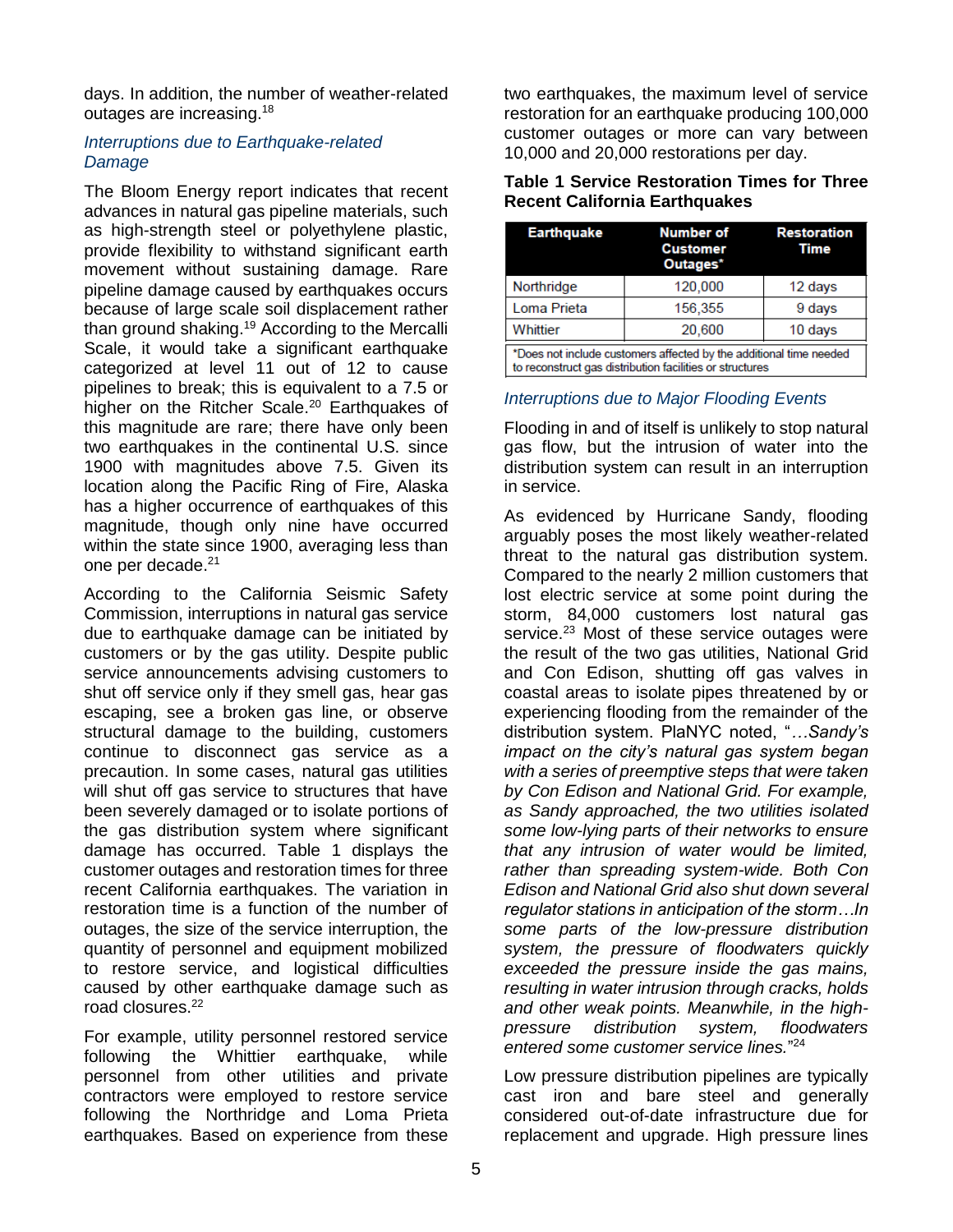days. In addition, the number of weather-related outages are increasing.<sup>18</sup>

## *Interruptions due to Earthquake-related Damage*

The Bloom Energy report indicates that recent advances in natural gas pipeline materials, such as high-strength steel or polyethylene plastic, provide flexibility to withstand significant earth movement without sustaining damage. Rare pipeline damage caused by earthquakes occurs because of large scale soil displacement rather than ground shaking.<sup>19</sup> According to the Mercalli Scale, it would take a significant earthquake categorized at level 11 out of 12 to cause pipelines to break; this is equivalent to a 7.5 or higher on the Ritcher Scale.<sup>20</sup> Earthquakes of this magnitude are rare; there have only been two earthquakes in the continental U.S. since 1900 with magnitudes above 7.5. Given its location along the Pacific Ring of Fire, Alaska has a higher occurrence of earthquakes of this magnitude, though only nine have occurred within the state since 1900, averaging less than one per decade.<sup>21</sup>

According to the California Seismic Safety Commission, interruptions in natural gas service due to earthquake damage can be initiated by customers or by the gas utility. Despite public service announcements advising customers to shut off service only if they smell gas, hear gas escaping, see a broken gas line, or observe structural damage to the building, customers continue to disconnect gas service as a precaution. In some cases, natural gas utilities will shut off gas service to structures that have been severely damaged or to isolate portions of the gas distribution system where significant damage has occurred. [Table 1](#page-4-0) displays the customer outages and restoration times for three recent California earthquakes. The variation in restoration time is a function of the number of outages, the size of the service interruption, the quantity of personnel and equipment mobilized to restore service, and logistical difficulties caused by other earthquake damage such as road closures.<sup>22</sup>

For example, utility personnel restored service following the Whittier earthquake, while personnel from other utilities and private contractors were employed to restore service following the Northridge and Loma Prieta earthquakes. Based on experience from these

two earthquakes, the maximum level of service restoration for an earthquake producing 100,000 customer outages or more can vary between 10,000 and 20,000 restorations per day.

<span id="page-4-0"></span>

| <b>Table 1 Service Restoration Times for Three</b> |  |  |  |
|----------------------------------------------------|--|--|--|
| <b>Recent California Earthquakes</b>               |  |  |  |

| <b>Earthquake</b>                                                                                                              | <b>Number of</b><br><b>Customer</b><br>Outages* | <b>Restoration</b><br>Time |  |  |  |
|--------------------------------------------------------------------------------------------------------------------------------|-------------------------------------------------|----------------------------|--|--|--|
| Northridge                                                                                                                     | 120,000                                         | 12 days                    |  |  |  |
| Loma Prieta                                                                                                                    | 156,355                                         | 9 days                     |  |  |  |
| Whittier                                                                                                                       | 20,600                                          | 10 days                    |  |  |  |
| *Does not include customers affected by the additional time needed<br>to reconstruct gas distribution facilities or structures |                                                 |                            |  |  |  |

#### *Interruptions due to Major Flooding Events*

Flooding in and of itself is unlikely to stop natural gas flow, but the intrusion of water into the distribution system can result in an interruption in service.

As evidenced by Hurricane Sandy, flooding arguably poses the most likely weather-related threat to the natural gas distribution system. Compared to the nearly 2 million customers that lost electric service at some point during the storm, 84,000 customers lost natural gas service.<sup>23</sup> Most of these service outages were the result of the two gas utilities, National Grid and Con Edison, shutting off gas valves in coastal areas to isolate pipes threatened by or experiencing flooding from the remainder of the distribution system. PlaNYC noted, "*…Sandy's impact on the city's natural gas system began with a series of preemptive steps that were taken by Con Edison and National Grid. For example, as Sandy approached, the two utilities isolated some low-lying parts of their networks to ensure that any intrusion of water would be limited, rather than spreading system-wide. Both Con Edison and National Grid also shut down several regulator stations in anticipation of the storm…In some parts of the low-pressure distribution system, the pressure of floodwaters quickly exceeded the pressure inside the gas mains, resulting in water intrusion through cracks, holds and other weak points. Meanwhile, in the highpressure distribution system, floodwaters entered some customer service lines.*" 24

Low pressure distribution pipelines are typically cast iron and bare steel and generally considered out-of-date infrastructure due for replacement and upgrade. High pressure lines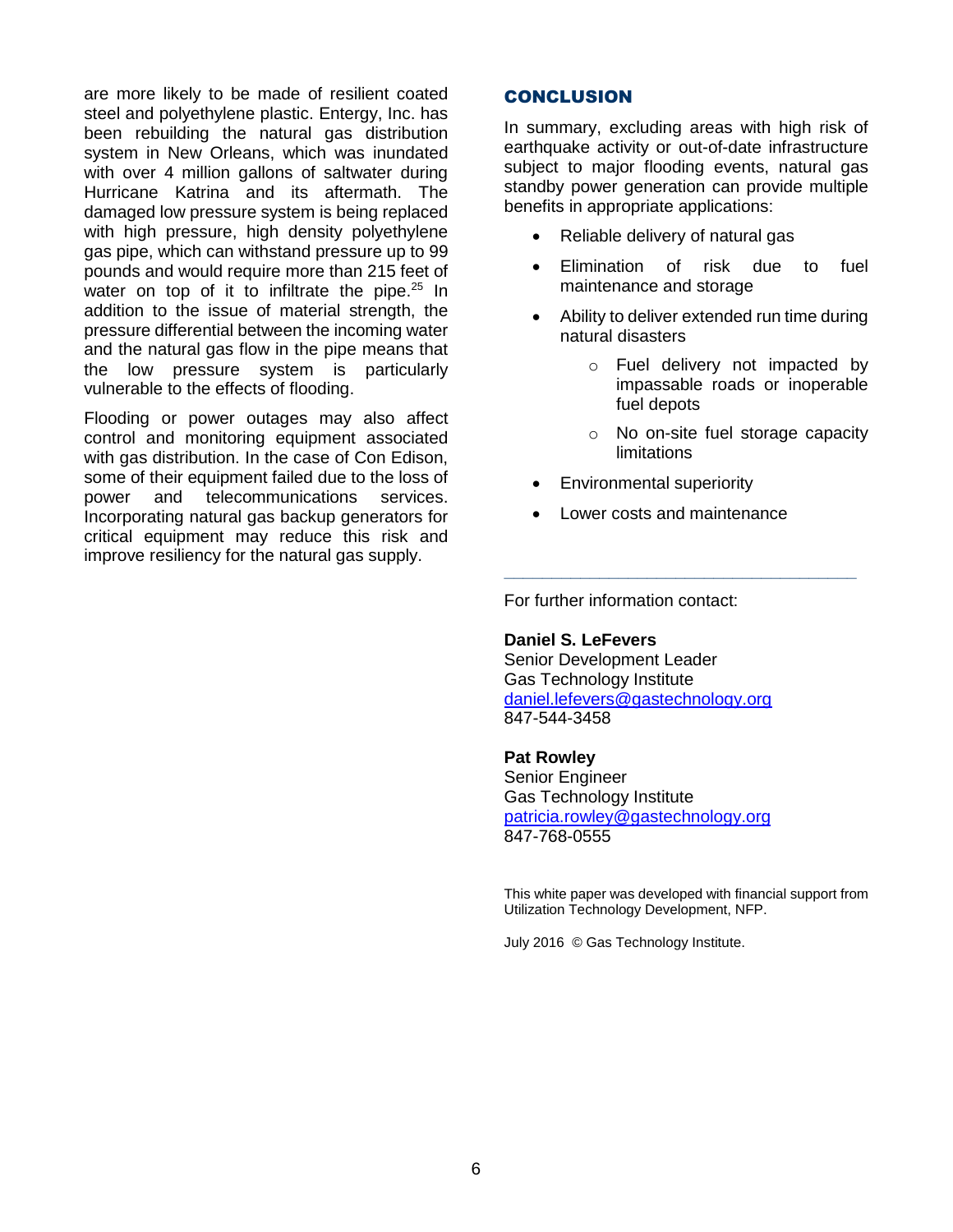are more likely to be made of resilient coated steel and polyethylene plastic. Entergy, Inc. has been rebuilding the natural gas distribution system in New Orleans, which was inundated with over 4 million gallons of saltwater during Hurricane Katrina and its aftermath. The damaged low pressure system is being replaced with high pressure, high density polyethylene gas pipe, which can withstand pressure up to 99 pounds and would require more than 215 feet of water on top of it to infiltrate the pipe. $25 \text{ In}$ addition to the issue of material strength, the pressure differential between the incoming water and the natural gas flow in the pipe means that the low pressure system is particularly vulnerable to the effects of flooding.

Flooding or power outages may also affect control and monitoring equipment associated with gas distribution. In the case of Con Edison, some of their equipment failed due to the loss of power and telecommunications services. Incorporating natural gas backup generators for critical equipment may reduce this risk and improve resiliency for the natural gas supply.

# CONCLUSION

In summary, excluding areas with high risk of earthquake activity or out-of-date infrastructure subject to major flooding events, natural gas standby power generation can provide multiple benefits in appropriate applications:

- Reliable delivery of natural gas
- Elimination of risk due to fuel maintenance and storage
- Ability to deliver extended run time during natural disasters
	- o Fuel delivery not impacted by impassable roads or inoperable fuel depots
	- o No on-site fuel storage capacity limitations
- Environmental superiority
- Lower costs and maintenance

**\_\_\_\_\_\_\_\_\_\_\_\_\_\_\_\_\_\_\_\_\_\_\_\_\_\_\_\_\_\_\_\_\_\_\_\_\_**

For further information contact:

**Daniel S. LeFevers** Senior Development Leader Gas Technology Institute [daniel.lefevers@gastechnology.org](mailto:daniel.lefevers@gastechnology.org) 847-544-3458

#### **Pat Rowley**

Senior Engineer Gas Technology Institute [patricia.rowley@gastechnology.org](mailto:patricia.rowley@GASTECHNOLOGY.ORG) 847-768-0555

This white paper was developed with financial support from Utilization Technology Development, NFP.

July 2016 © Gas Technology Institute.